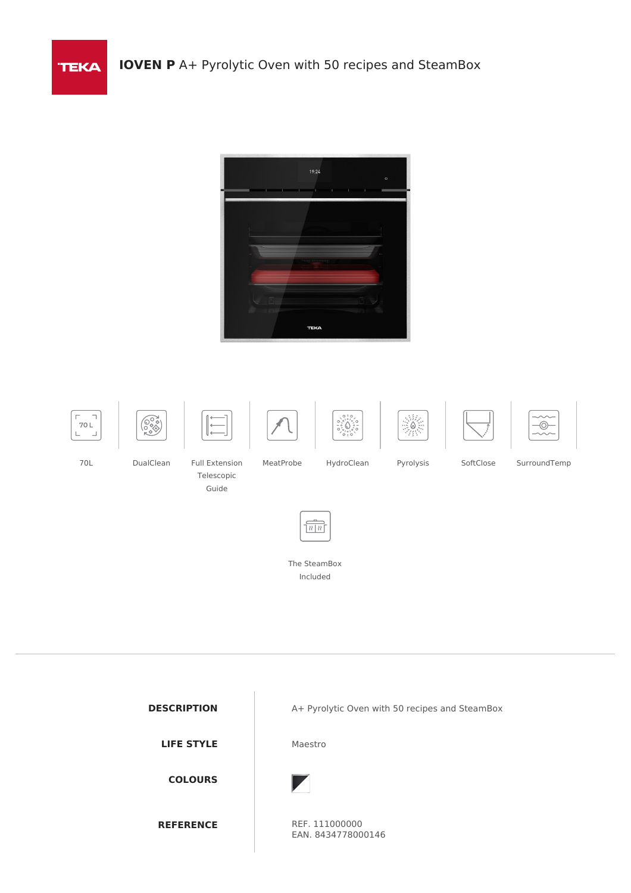

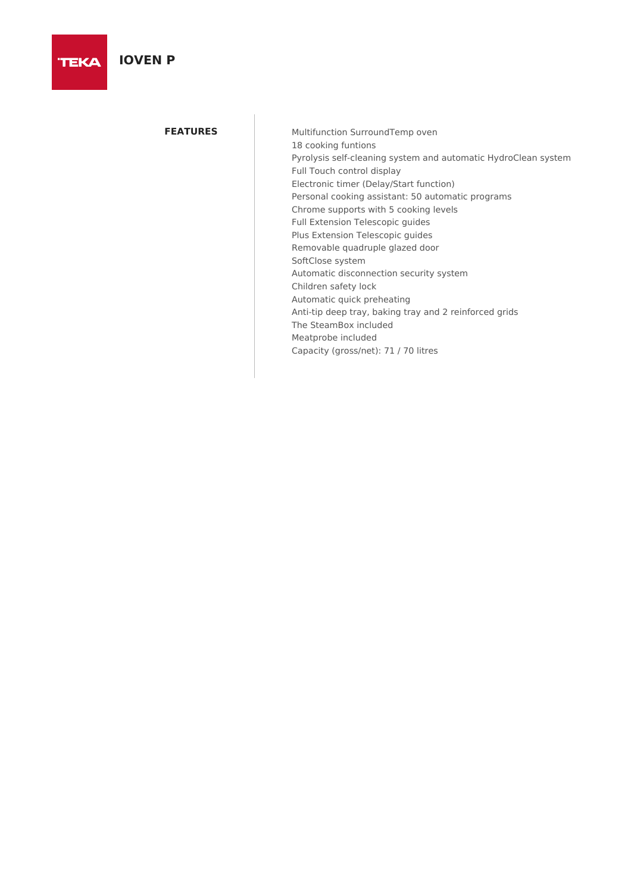## **IOVEN P**

**TEKA** 

**FEATURES** Multifunction SurroundTemp oven 18 cooking funtions Pyrolysis self-cleaning system and automatic HydroClean system Full Touch control display Electronic timer (Delay/Start function) Personal cooking assistant: 50 automatic programs Chrome supports with 5 cooking levels Full Extension Telescopic guides Plus Extension Telescopic guides Removable quadruple glazed door SoftClose system Automatic disconnection security system Children safety lock Automatic quick preheating Anti-tip deep tray, baking tray and 2 reinforced grids The SteamBox included Meatprobe included Capacity (gross/net): 71 / 70 litres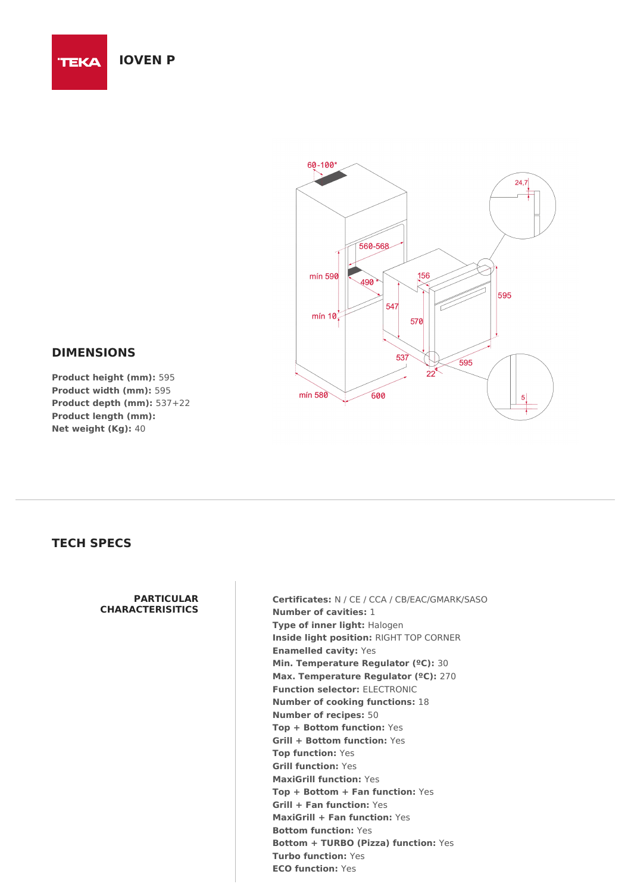#### **IOVEN P TEKA**



### **DIMENSIONS**

**Product height (mm):** 595 **Product width (mm):** 595 **Product depth (mm):** 537+22 **Product length (mm): Net weight (Kg):** 40

#### **TECH SPECS**

#### **PARTICULAR CHARACTERISITICS**

**Certificates:** N / CE / CCA / CB/EAC/GMARK/SASO **Number of cavities:** 1 **Type of inner light:** Halogen **Inside light position:** RIGHT TOP CORNER **Enamelled cavity:** Yes **Min. Temperature Regulator (ºC):** 30 **Max. Temperature Regulator (ºC):** 270 **Function selector:** ELECTRONIC **Number of cooking functions:** 18 **Number of recipes:** 50 **Top + Bottom function:** Yes **Grill + Bottom function:** Yes **Top function:** Yes **Grill function:** Yes **MaxiGrill function:** Yes **Top + Bottom + Fan function:** Yes **Grill + Fan function:** Yes **MaxiGrill + Fan function:** Yes **Bottom function:** Yes **Bottom + TURBO (Pizza) function:** Yes **Turbo function:** Yes **ECO function:** Yes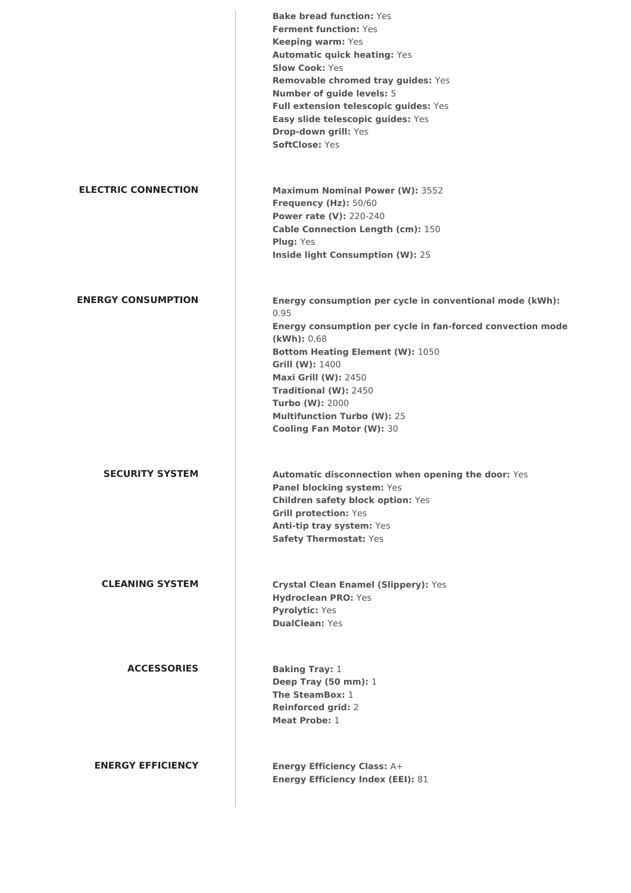|                            | <b>Bake bread function: Yes</b><br><b>Ferment function: Yes</b><br>Keeping warm: Yes<br><b>Automatic quick heating: Yes</b><br><b>Slow Cook: Yes</b><br>Removable chromed tray guides: Yes<br><b>Number of guide levels: 5</b><br>Full extension telescopic guides: Yes<br>Easy slide telescopic guides: Yes<br>Drop-down grill: Yes<br>SoftClose: Yes           |
|----------------------------|------------------------------------------------------------------------------------------------------------------------------------------------------------------------------------------------------------------------------------------------------------------------------------------------------------------------------------------------------------------|
| <b>ELECTRIC CONNECTION</b> | <b>Maximum Nominal Power (W): 3552</b><br>Frequency (Hz): 50/60<br><b>Power rate (V): 220-240</b><br><b>Cable Connection Length (cm): 150</b><br><b>Plug: Yes</b><br><b>Inside light Consumption (W): 25</b>                                                                                                                                                     |
| <b>ENERGY CONSUMPTION</b>  | Energy consumption per cycle in conventional mode (kWh):<br>0.95<br>Energy consumption per cycle in fan-forced convection mode<br>(kWh): 0,68<br><b>Bottom Heating Element (W): 1050</b><br>Grill (W): 1400<br><b>Maxi Grill (W): 2450</b><br>Traditional (W): 2450<br><b>Turbo (W): 2000</b><br><b>Multifunction Turbo (W): 25</b><br>Cooling Fan Motor (W): 30 |
| <b>SECURITY SYSTEM</b>     | <b>Automatic disconnection when opening the door:</b> Yes<br>Panel blocking system: Yes<br><b>Children safety block option: Yes</b><br><b>Grill protection: Yes</b><br>Anti-tip tray system: Yes<br>Safety Thermostat: Yes                                                                                                                                       |
| <b>CLEANING SYSTEM</b>     | Crystal Clean Enamel (Slippery): Yes<br><b>Hydroclean PRO: Yes</b><br><b>Pyrolytic: Yes</b><br><b>DualClean: Yes</b>                                                                                                                                                                                                                                             |
| <b>ACCESSORIES</b>         | <b>Baking Tray: 1</b><br><b>Deep Tray (50 mm): 1</b><br>The SteamBox: 1<br><b>Reinforced grid: 2</b><br><b>Meat Probe: 1</b>                                                                                                                                                                                                                                     |
| <b>ENERGY EFFICIENCY</b>   | <b>Energy Efficiency Class: A+</b><br><b>Energy Efficiency Index (EEI): 81</b>                                                                                                                                                                                                                                                                                   |